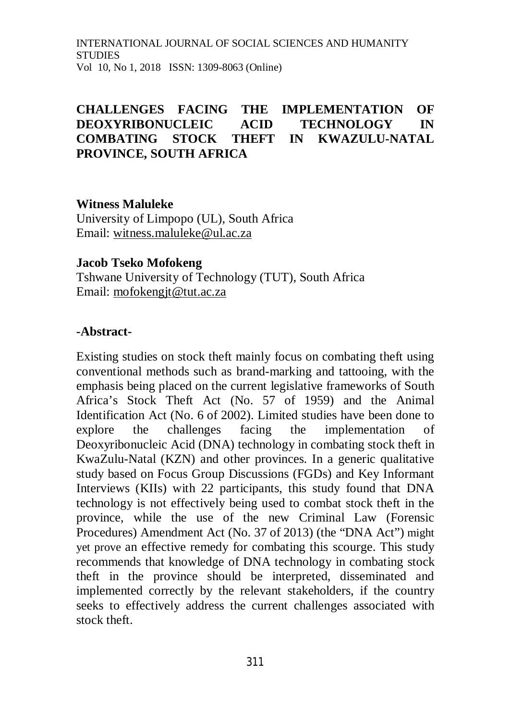INTERNATIONAL JOURNAL OF SOCIAL SCIENCES AND HUMANITY STUDIES Vol 10, No 1, 2018 ISSN: 1309-8063 (Online)

## **CHALLENGES FACING THE IMPLEMENTATION OF DEOXYRIBONUCLEIC ACID TECHNOLOGY IN COMBATING STOCK THEFT IN KWAZULU-NATAL PROVINCE, SOUTH AFRICA**

**Witness Maluleke**

University of Limpopo (UL), South Africa Email: [witness.maluleke@ul.ac.za](mailto:witness.maluleke@ul.ac.za)

#### **Jacob Tseko Mofokeng**

Tshwane University of Technology (TUT), South Africa Email: [mofokengjt@tut.ac.za](mailto:mofokengjt@tut.ac.za)

#### **-Abstract-**

Existing studies on stock theft mainly focus on combating theft using conventional methods such as brand-marking and tattooing, with the emphasis being placed on the current legislative frameworks of South Africa's Stock Theft Act (No. 57 of 1959) and the Animal Identification Act (No. 6 of 2002). Limited studies have been done to explore the challenges facing the implementation of Deoxyribonucleic Acid (DNA) technology in combating stock theft in KwaZulu-Natal (KZN) and other provinces. In a generic qualitative study based on Focus Group Discussions (FGDs) and Key Informant Interviews (KIIs) with 22 participants, this study found that DNA technology is not effectively being used to combat stock theft in the province, while the use of the new Criminal Law (Forensic Procedures) Amendment Act (No. 37 of 2013) (the "DNA Act") might yet prove an effective remedy for combating this scourge. This study recommends that knowledge of DNA technology in combating stock theft in the province should be interpreted, disseminated and implemented correctly by the relevant stakeholders, if the country seeks to effectively address the current challenges associated with stock theft.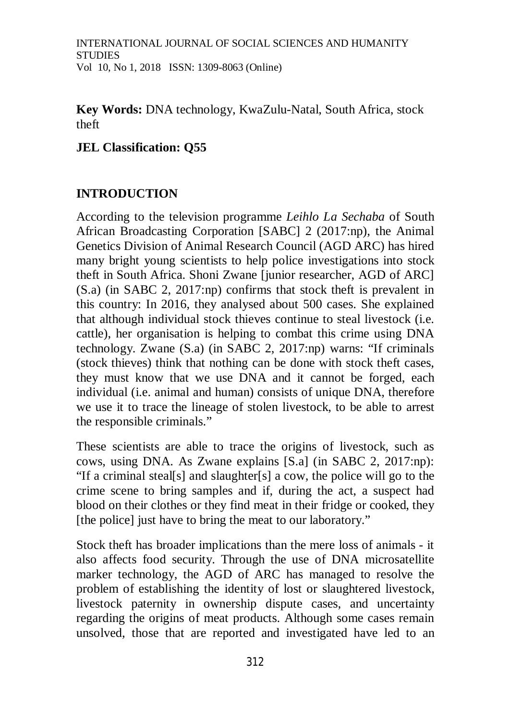**Key Words:** DNA technology, KwaZulu-Natal, South Africa, stock theft

## **JEL Classification: Q55**

## **INTRODUCTION**

According to the television programme *Leihlo La Sechaba* of South African Broadcasting Corporation [SABC] 2 (2017:np), the Animal Genetics Division of Animal Research Council (AGD ARC) has hired many bright young scientists to help police investigations into stock theft in South Africa. Shoni Zwane [junior researcher, AGD of ARC] (S.a) (in SABC 2, 2017:np) confirms that stock theft is prevalent in this country: In 2016, they analysed about 500 cases. She explained that although individual stock thieves continue to steal livestock (i.e. cattle), her organisation is helping to combat this crime using DNA technology. Zwane (S.a) (in SABC 2, 2017:np) warns: "If criminals (stock thieves) think that nothing can be done with stock theft cases, they must know that we use DNA and it cannot be forged, each individual (i.e. animal and human) consists of unique DNA, therefore we use it to trace the lineage of stolen livestock, to be able to arrest the responsible criminals."

These scientists are able to trace the origins of livestock, such as cows, using DNA. As Zwane explains [S.a] (in SABC 2, 2017:np): "If a criminal steal[s] and slaughter[s] a cow, the police will go to the crime scene to bring samples and if, during the act, a suspect had blood on their clothes or they find meat in their fridge or cooked, they [the police] just have to bring the meat to our laboratory."

Stock theft has broader implications than the mere loss of animals - it also affects food security. Through the use of DNA microsatellite marker technology, the AGD of ARC has managed to resolve the problem of establishing the identity of lost or slaughtered livestock, livestock paternity in ownership dispute cases, and uncertainty regarding the origins of meat products. Although some cases remain unsolved, those that are reported and investigated have led to an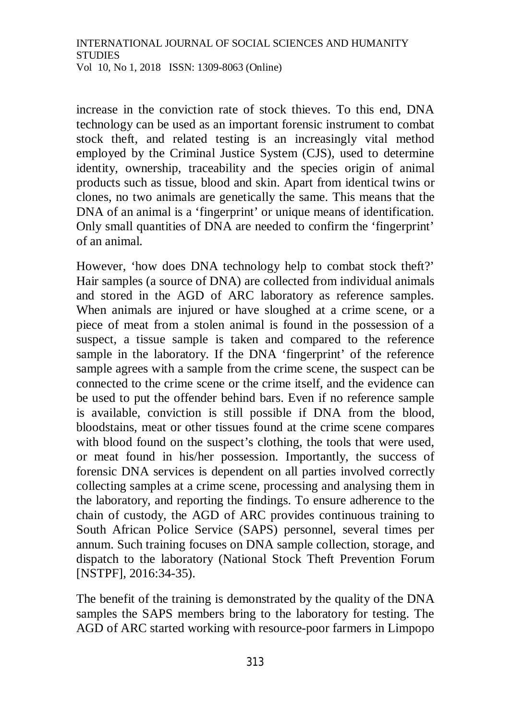increase in the conviction rate of stock thieves. To this end, DNA technology can be used as an important forensic instrument to combat stock theft, and related testing is an increasingly vital method employed by the Criminal Justice System (CJS), used to determine identity, ownership, traceability and the species origin of animal products such as tissue, blood and skin. Apart from identical twins or clones, no two animals are genetically the same. This means that the DNA of an animal is a 'fingerprint' or unique means of identification. Only small quantities of DNA are needed to confirm the 'fingerprint' of an animal.

However, 'how does DNA technology help to combat stock theft?' Hair samples (a source of DNA) are collected from individual animals and stored in the AGD of ARC laboratory as reference samples. When animals are injured or have sloughed at a crime scene, or a piece of meat from a stolen animal is found in the possession of a suspect, a tissue sample is taken and compared to the reference sample in the laboratory. If the DNA 'fingerprint' of the reference sample agrees with a sample from the crime scene, the suspect can be connected to the crime scene or the crime itself, and the evidence can be used to put the offender behind bars. Even if no reference sample is available, conviction is still possible if DNA from the blood, bloodstains, meat or other tissues found at the crime scene compares with blood found on the suspect's clothing, the tools that were used, or meat found in his/her possession. Importantly, the success of forensic DNA services is dependent on all parties involved correctly collecting samples at a crime scene, processing and analysing them in the laboratory, and reporting the findings. To ensure adherence to the chain of custody, the AGD of ARC provides continuous training to South African Police Service (SAPS) personnel, several times per annum. Such training focuses on DNA sample collection, storage, and dispatch to the laboratory (National Stock Theft Prevention Forum [NSTPF], 2016:34-35).

The benefit of the training is demonstrated by the quality of the DNA samples the SAPS members bring to the laboratory for testing. The AGD of ARC started working with resource-poor farmers in Limpopo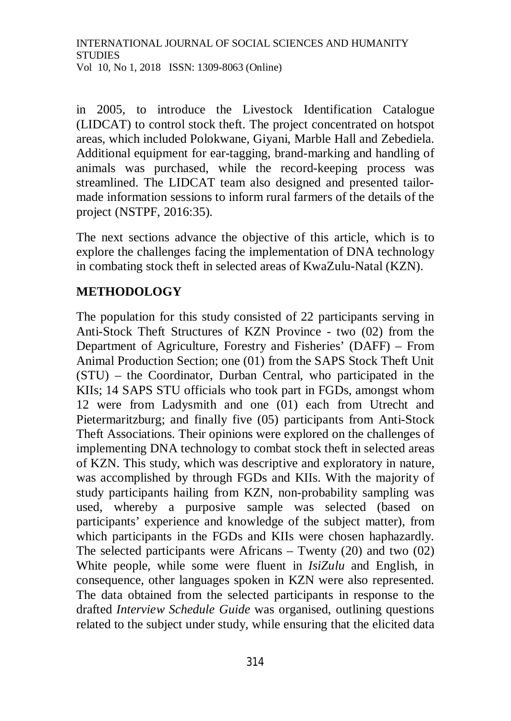in 2005, to introduce the Livestock Identification Catalogue (LIDCAT) to control stock theft. The project concentrated on hotspot areas, which included Polokwane, Giyani, Marble Hall and Zebediela. Additional equipment for ear-tagging, brand-marking and handling of animals was purchased, while the record-keeping process was streamlined. The LIDCAT team also designed and presented tailormade information sessions to inform rural farmers of the details of the project (NSTPF, 2016:35).

The next sections advance the objective of this article, which is to explore the challenges facing the implementation of DNA technology in combating stock theft in selected areas of KwaZulu-Natal (KZN).

#### **METHODOLOGY**

The population for this study consisted of 22 participants serving in Anti-Stock Theft Structures of KZN Province - two (02) from the Department of Agriculture, Forestry and Fisheries' (DAFF) – From Animal Production Section; one (01) from the SAPS Stock Theft Unit (STU) – the Coordinator, Durban Central, who participated in the KIIs; 14 SAPS STU officials who took part in FGDs, amongst whom 12 were from Ladysmith and one (01) each from Utrecht and Pietermaritzburg; and finally five (05) participants from Anti-Stock Theft Associations. Their opinions were explored on the challenges of implementing DNA technology to combat stock theft in selected areas of KZN. This study, which was descriptive and exploratory in nature, was accomplished by through FGDs and KIIs. With the majority of study participants hailing from KZN, non-probability sampling was used, whereby a purposive sample was selected (based on participants' experience and knowledge of the subject matter), from which participants in the FGDs and KIIs were chosen haphazardly. The selected participants were Africans – Twenty (20) and two (02) White people, while some were fluent in *IsiZulu* and English, in consequence, other languages spoken in KZN were also represented. The data obtained from the selected participants in response to the drafted *Interview Schedule Guide* was organised, outlining questions related to the subject under study, while ensuring that the elicited data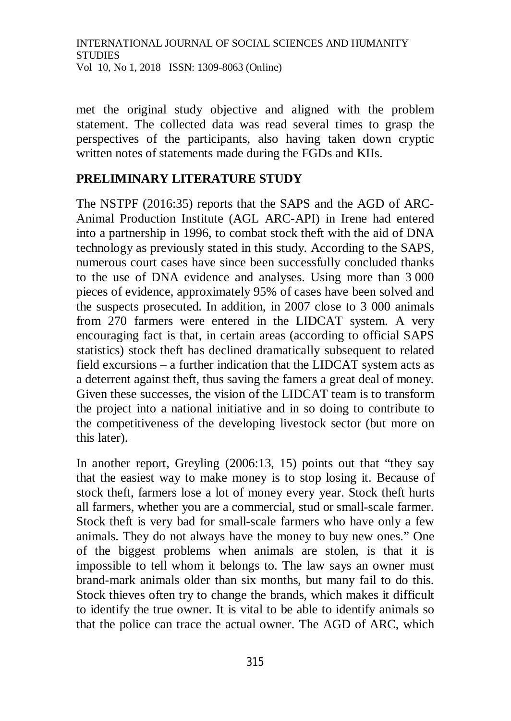met the original study objective and aligned with the problem statement. The collected data was read several times to grasp the perspectives of the participants, also having taken down cryptic written notes of statements made during the FGDs and KIIs.

## **PRELIMINARY LITERATURE STUDY**

The NSTPF (2016:35) reports that the SAPS and the AGD of ARC-Animal Production Institute (AGL ARC-API) in Irene had entered into a partnership in 1996, to combat stock theft with the aid of DNA technology as previously stated in this study. According to the SAPS, numerous court cases have since been successfully concluded thanks to the use of DNA evidence and analyses. Using more than 3 000 pieces of evidence, approximately 95% of cases have been solved and the suspects prosecuted. In addition, in 2007 close to 3 000 animals from 270 farmers were entered in the LIDCAT system. A very encouraging fact is that, in certain areas (according to official SAPS statistics) stock theft has declined dramatically subsequent to related field excursions – a further indication that the LIDCAT system acts as a deterrent against theft, thus saving the famers a great deal of money. Given these successes, the vision of the LIDCAT team is to transform the project into a national initiative and in so doing to contribute to the competitiveness of the developing livestock sector (but more on this later).

In another report, Greyling (2006:13, 15) points out that "they say that the easiest way to make money is to stop losing it. Because of stock theft, farmers lose a lot of money every year. Stock theft hurts all farmers, whether you are a commercial, stud or small-scale farmer. Stock theft is very bad for small-scale farmers who have only a few animals. They do not always have the money to buy new ones." One of the biggest problems when animals are stolen, is that it is impossible to tell whom it belongs to. The law says an owner must brand-mark animals older than six months, but many fail to do this. Stock thieves often try to change the brands, which makes it difficult to identify the true owner. It is vital to be able to identify animals so that the police can trace the actual owner. The AGD of ARC, which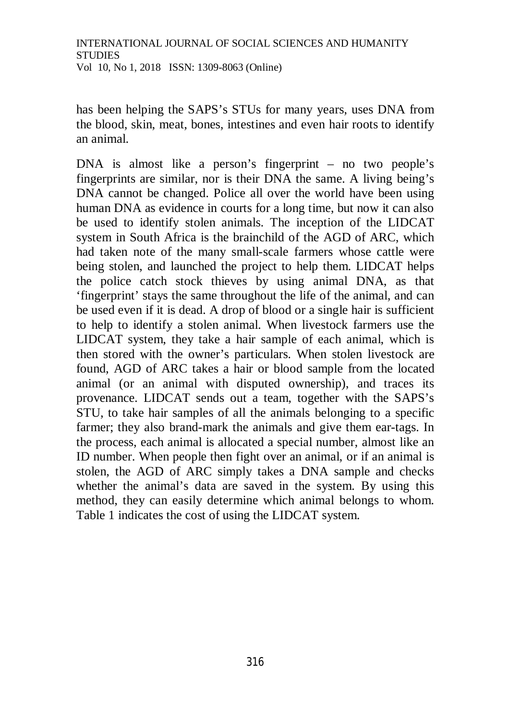has been helping the SAPS's STUs for many years, uses DNA from the blood, skin, meat, bones, intestines and even hair roots to identify an animal.

DNA is almost like a person's fingerprint – no two people's fingerprints are similar, nor is their DNA the same. A living being's DNA cannot be changed. Police all over the world have been using human DNA as evidence in courts for a long time, but now it can also be used to identify stolen animals. The inception of the LIDCAT system in South Africa is the brainchild of the AGD of ARC, which had taken note of the many small-scale farmers whose cattle were being stolen, and launched the project to help them. LIDCAT helps the police catch stock thieves by using animal DNA, as that 'fingerprint' stays the same throughout the life of the animal, and can be used even if it is dead. A drop of blood or a single hair is sufficient to help to identify a stolen animal. When livestock farmers use the LIDCAT system, they take a hair sample of each animal, which is then stored with the owner's particulars. When stolen livestock are found, AGD of ARC takes a hair or blood sample from the located animal (or an animal with disputed ownership), and traces its provenance. LIDCAT sends out a team, together with the SAPS's STU, to take hair samples of all the animals belonging to a specific farmer; they also brand-mark the animals and give them ear-tags. In the process, each animal is allocated a special number, almost like an ID number. When people then fight over an animal, or if an animal is stolen, the AGD of ARC simply takes a DNA sample and checks whether the animal's data are saved in the system. By using this method, they can easily determine which animal belongs to whom. Table 1 indicates the cost of using the LIDCAT system.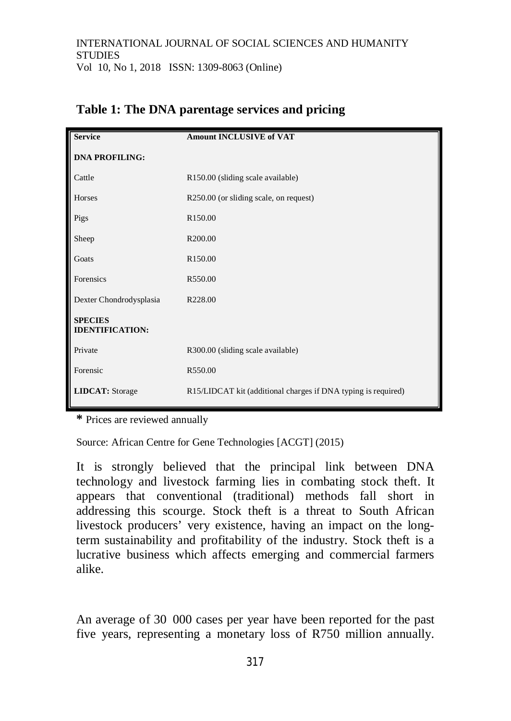| <b>Service</b>                           | <b>Amount INCLUSIVE of VAT</b>                                |
|------------------------------------------|---------------------------------------------------------------|
| <b>DNA PROFILING:</b>                    |                                                               |
| Cattle                                   | R150.00 (sliding scale available)                             |
| Horses                                   | R250.00 (or sliding scale, on request)                        |
| Pigs                                     | R <sub>150.00</sub>                                           |
| Sheep                                    | R200.00                                                       |
| Goats                                    | R <sub>150.00</sub>                                           |
| Forensics                                | R550.00                                                       |
| Dexter Chondrodysplasia                  | R228.00                                                       |
| <b>SPECIES</b><br><b>IDENTIFICATION:</b> |                                                               |
| Private                                  | R300.00 (sliding scale available)                             |
| Forensic                                 | R550.00                                                       |
| <b>LIDCAT:</b> Storage                   | R15/LIDCAT kit (additional charges if DNA typing is required) |

## **Table 1: The DNA parentage services and pricing**

**\*** Prices are reviewed annually

Source: African Centre for Gene Technologies [ACGT] (2015)

It is strongly believed that the principal link between DNA technology and livestock farming lies in combating stock theft. It appears that conventional (traditional) methods fall short in addressing this scourge. Stock theft is a threat to South African livestock producers' very existence, having an impact on the longterm sustainability and profitability of the industry. Stock theft is a lucrative business which affects emerging and commercial farmers alike.

An average of 30 000 cases per year have been reported for the past five years, representing a monetary loss of R750 million annually.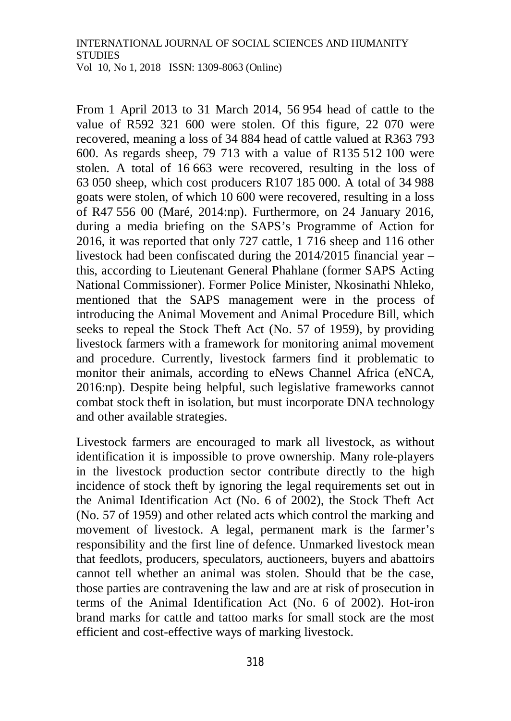From 1 April 2013 to 31 March 2014, 56 954 head of cattle to the value of R592 321 600 were stolen. Of this figure, 22 070 were recovered, meaning a loss of 34 884 head of cattle valued at R363 793 600. As regards sheep, 79 713 with a value of R135 512 100 were stolen. A total of 16 663 were recovered, resulting in the loss of 63 050 sheep, which cost producers R107 185 000. A total of 34 988 goats were stolen, of which 10 600 were recovered, resulting in a loss of R47 556 00 (Maré, 2014:np). Furthermore, on 24 January 2016, during a media briefing on the SAPS's Programme of Action for 2016, it was reported that only 727 cattle, 1 716 sheep and 116 other livestock had been confiscated during the 2014/2015 financial year – this, according to Lieutenant General Phahlane (former SAPS Acting National Commissioner). Former Police Minister, Nkosinathi Nhleko, mentioned that the SAPS management were in the process of introducing the Animal Movement and Animal Procedure Bill, which seeks to repeal the Stock Theft Act (No. 57 of 1959), by providing livestock farmers with a framework for monitoring animal movement and procedure. Currently, livestock farmers find it problematic to monitor their animals, according to eNews Channel Africa (eNCA, 2016:np). Despite being helpful, such legislative frameworks cannot combat stock theft in isolation, but must incorporate DNA technology and other available strategies.

Livestock farmers are encouraged to mark all livestock, as without identification it is impossible to prove ownership. Many role-players in the livestock production sector contribute directly to the high incidence of stock theft by ignoring the legal requirements set out in the Animal Identification Act (No. 6 of 2002), the Stock Theft Act (No. 57 of 1959) and other related acts which control the marking and movement of livestock. A legal, permanent mark is the farmer's responsibility and the first line of defence. Unmarked livestock mean that feedlots, producers, speculators, auctioneers, buyers and abattoirs cannot tell whether an animal was stolen. Should that be the case, those parties are contravening the law and are at risk of prosecution in terms of the Animal Identification Act (No. 6 of 2002). Hot-iron brand marks for cattle and tattoo marks for small stock are the most efficient and cost-effective ways of marking livestock.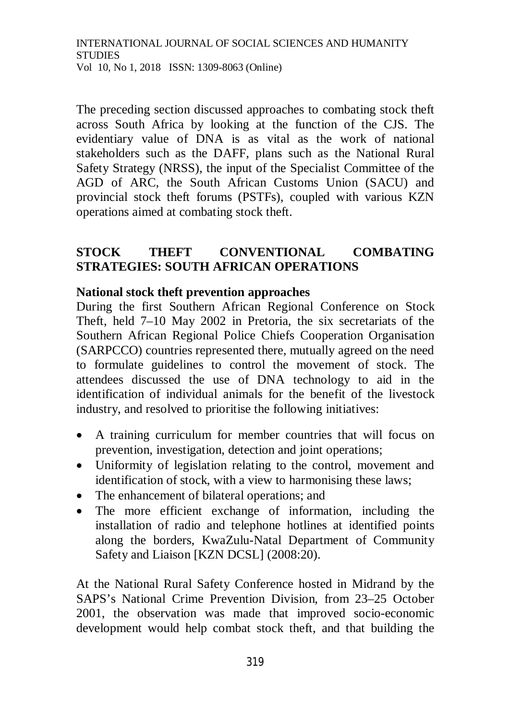The preceding section discussed approaches to combating stock theft across South Africa by looking at the function of the CJS. The evidentiary value of DNA is as vital as the work of national stakeholders such as the DAFF, plans such as the National Rural Safety Strategy (NRSS), the input of the Specialist Committee of the AGD of ARC, the South African Customs Union (SACU) and provincial stock theft forums (PSTFs), coupled with various KZN operations aimed at combating stock theft.

## **STOCK THEFT CONVENTIONAL COMBATING STRATEGIES: SOUTH AFRICAN OPERATIONS**

#### **National stock theft prevention approaches**

During the first Southern African Regional Conference on Stock Theft, held 7–10 May 2002 in Pretoria, the six secretariats of the Southern African Regional Police Chiefs Cooperation Organisation (SARPCCO) countries represented there, mutually agreed on the need to formulate guidelines to control the movement of stock. The attendees discussed the use of DNA technology to aid in the identification of individual animals for the benefit of the livestock industry, and resolved to prioritise the following initiatives:

- A training curriculum for member countries that will focus on prevention, investigation, detection and joint operations;
- Uniformity of legislation relating to the control, movement and identification of stock, with a view to harmonising these laws;
- The enhancement of bilateral operations; and
- The more efficient exchange of information, including the installation of radio and telephone hotlines at identified points along the borders, KwaZulu-Natal Department of Community Safety and Liaison [KZN DCSL] (2008:20).

At the National Rural Safety Conference hosted in Midrand by the SAPS's National Crime Prevention Division, from 23–25 October 2001, the observation was made that improved socio-economic development would help combat stock theft, and that building the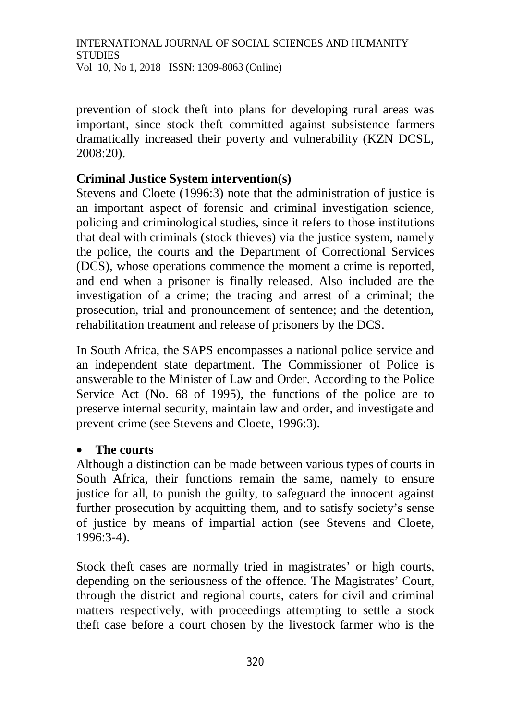prevention of stock theft into plans for developing rural areas was important, since stock theft committed against subsistence farmers dramatically increased their poverty and vulnerability (KZN DCSL, 2008:20).

#### **Criminal Justice System intervention(s)**

Stevens and Cloete (1996:3) note that the administration of justice is an important aspect of forensic and criminal investigation science, policing and criminological studies, since it refers to those institutions that deal with criminals (stock thieves) via the justice system, namely the police, the courts and the Department of Correctional Services (DCS), whose operations commence the moment a crime is reported, and end when a prisoner is finally released. Also included are the investigation of a crime; the tracing and arrest of a criminal; the prosecution, trial and pronouncement of sentence; and the detention, rehabilitation treatment and release of prisoners by the DCS.

In South Africa, the SAPS encompasses a national police service and an independent state department. The Commissioner of Police is answerable to the Minister of Law and Order. According to the Police Service Act (No. 68 of 1995), the functions of the police are to preserve internal security, maintain law and order, and investigate and prevent crime (see Stevens and Cloete, 1996:3).

#### **The courts**

Although a distinction can be made between various types of courts in South Africa, their functions remain the same, namely to ensure justice for all, to punish the guilty, to safeguard the innocent against further prosecution by acquitting them, and to satisfy society's sense of justice by means of impartial action (see Stevens and Cloete, 1996:3-4).

Stock theft cases are normally tried in magistrates' or high courts, depending on the seriousness of the offence. The Magistrates' Court, through the district and regional courts, caters for civil and criminal matters respectively, with proceedings attempting to settle a stock theft case before a court chosen by the livestock farmer who is the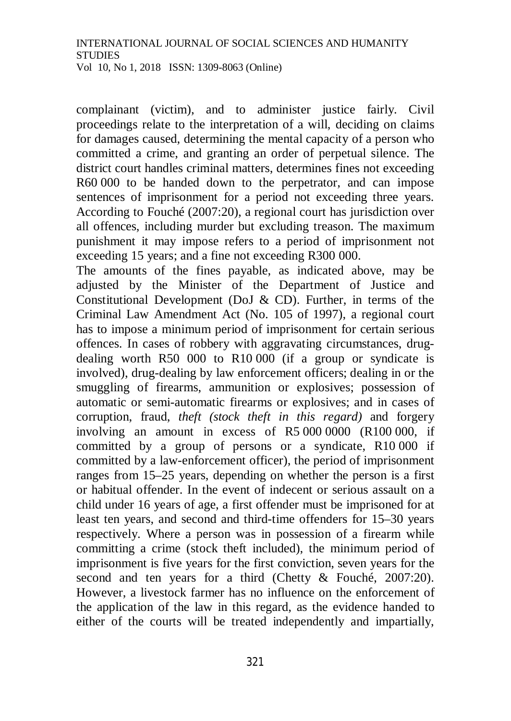complainant (victim), and to administer justice fairly. Civil proceedings relate to the interpretation of a will, deciding on claims for damages caused, determining the mental capacity of a person who committed a crime, and granting an order of perpetual silence. The district court handles criminal matters, determines fines not exceeding R60 000 to be handed down to the perpetrator, and can impose sentences of imprisonment for a period not exceeding three years. According to Fouché (2007:20), a regional court has jurisdiction over all offences, including murder but excluding treason. The maximum punishment it may impose refers to a period of imprisonment not exceeding 15 years; and a fine not exceeding R300 000.

The amounts of the fines payable, as indicated above, may be adjusted by the Minister of the Department of Justice and Constitutional Development (DoJ & CD). Further, in terms of the Criminal Law Amendment Act (No. 105 of 1997), a regional court has to impose a minimum period of imprisonment for certain serious offences. In cases of robbery with aggravating circumstances, drugdealing worth R50 000 to R10 000 (if a group or syndicate is involved), drug-dealing by law enforcement officers; dealing in or the smuggling of firearms, ammunition or explosives; possession of automatic or semi-automatic firearms or explosives; and in cases of corruption, fraud, *theft (stock theft in this regard)* and forgery involving an amount in excess of R5 000 0000 (R100 000, if committed by a group of persons or a syndicate, R10 000 if committed by a law-enforcement officer), the period of imprisonment ranges from 15–25 years, depending on whether the person is a first or habitual offender. In the event of indecent or serious assault on a child under 16 years of age, a first offender must be imprisoned for at least ten years, and second and third-time offenders for 15–30 years respectively. Where a person was in possession of a firearm while committing a crime (stock theft included), the minimum period of imprisonment is five years for the first conviction, seven years for the second and ten years for a third (Chetty & Fouché, 2007:20). However, a livestock farmer has no influence on the enforcement of the application of the law in this regard, as the evidence handed to either of the courts will be treated independently and impartially,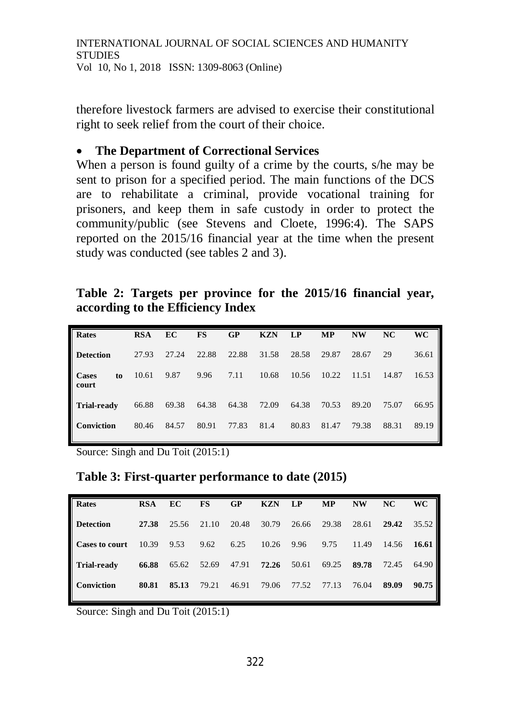therefore livestock farmers are advised to exercise their constitutional right to seek relief from the court of their choice.

#### **The Department of Correctional Services**

When a person is found guilty of a crime by the courts, s/he may be sent to prison for a specified period. The main functions of the DCS are to rehabilitate a criminal, provide vocational training for prisoners, and keep them in safe custody in order to protect the community/public (see Stevens and Cloete, 1996:4). The SAPS reported on the 2015/16 financial year at the time when the present study was conducted (see tables 2 and 3).

## **Table 2: Targets per province for the 2015/16 financial year, according to the Efficiency Index**

| Rates                | <b>RSA</b> | EC    | FS    | GP    | <b>KZN</b> | LP    | <b>MP</b> | <b>NW</b> | NC    | <b>WC</b> |
|----------------------|------------|-------|-------|-------|------------|-------|-----------|-----------|-------|-----------|
| <b>Detection</b>     | 27.93      | 27.24 | 22.88 | 22.88 | 31.58      | 28.58 | 29.87     | 28.67     | 29    | 36.61     |
| Cases<br>to<br>court | 10.61      | 9.87  | 9.96  | 7.11  | 10.68      | 10.56 | 10.22     | 11.51     | 14.87 | 16.53     |
| Trial-ready          | 66.88      | 69.38 | 64.38 | 64.38 | 72.09      | 64.38 | 70.53     | 89.20     | 75.07 | 66.95     |
| Conviction           | 80.46      | 84.57 | 80.91 | 77.83 | 81.4       | 80.83 | 81.47     | 79.38     | 88.31 | 89.19     |

Source: Singh and Du Toit (2015:1)

**Table 3: First-quarter performance to date (2015)**

| Rates                 | <b>RSA</b> | EC    | FS    | GP    | <b>KZN</b> | <b>LP</b> | <b>MP</b> | <b>NW</b> | NC    | <b>WC</b> |
|-----------------------|------------|-------|-------|-------|------------|-----------|-----------|-----------|-------|-----------|
| <b>Detection</b>      | 27.38      | 25.56 | 21.10 | 20.48 | 30.79      | 26.66     | 29.38     | 28.61     | 29.42 | 35.52     |
| <b>Cases to court</b> | 10.39      | 9.53  | 9.62  | 6.25  | 10.26      | 9.96      | 9.75      | 11.49     | 14.56 | 16.61     |
| <b>Trial-ready</b>    | 66.88      | 65.62 | 52.69 | 47.91 | 72.26      | 50.61     | 69.25     | 89.78     | 72.45 | 64.90 l   |
| Conviction            | 80.81      | 85.13 | 79.21 | 46.91 | 79.06      | 77.52     | 77.13     | 76.04     | 89.09 | 90.75     |

Source: Singh and Du Toit (2015:1)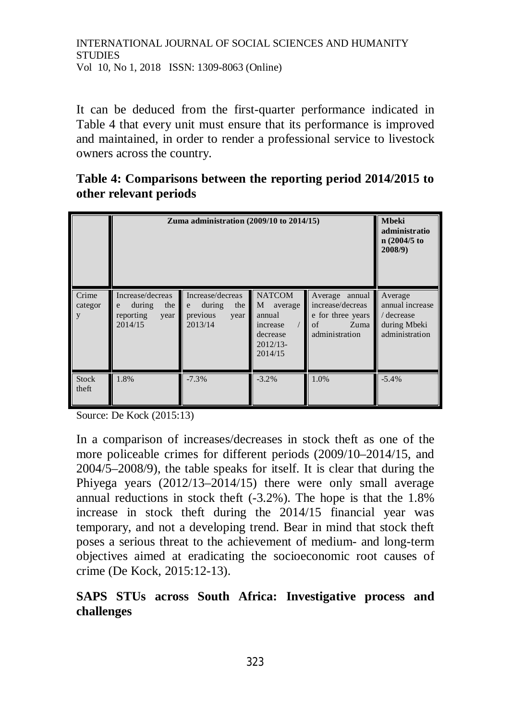It can be deduced from the first-quarter performance indicated in Table 4 that every unit must ensure that its performance is improved and maintained, in order to render a professional service to livestock owners across the country.

**Table 4: Comparisons between the reporting period 2014/2015 to other relevant periods**

|                       | Zuma administration $(2009/10$ to $2014/15)$                           | <b>Mbeki</b><br>administratio<br>n(2004/5)<br>$2008/9$ )              |                                                                                          |                                                                                         |                                                                            |
|-----------------------|------------------------------------------------------------------------|-----------------------------------------------------------------------|------------------------------------------------------------------------------------------|-----------------------------------------------------------------------------------------|----------------------------------------------------------------------------|
| Crime<br>categor<br>y | Increase/decreas<br>during<br>the<br>e<br>reporting<br>year<br>2014/15 | Increase/decreas<br>during<br>the<br>e<br>previous<br>year<br>2013/14 | <b>NATCOM</b><br>M<br>average<br>annual<br>increase<br>decrease<br>$2012/13-$<br>2014/15 | Average annual<br>increase/decreas<br>e for three years<br>of<br>Zuma<br>administration | Average<br>annual increase<br>/ decrease<br>during Mbeki<br>administration |
| <b>Stock</b><br>theft | 1.8%                                                                   | $-7.3%$                                                               | $-3.2%$                                                                                  | 1.0%                                                                                    | $-5.4%$                                                                    |

Source: De Kock (2015:13)

In a comparison of increases/decreases in stock theft as one of the more policeable crimes for different periods (2009/10–2014/15, and 2004/5–2008/9), the table speaks for itself. It is clear that during the Phiyega years (2012/13–2014/15) there were only small average annual reductions in stock theft (-3.2%). The hope is that the 1.8% increase in stock theft during the 2014/15 financial year was temporary, and not a developing trend. Bear in mind that stock theft poses a serious threat to the achievement of medium- and long-term objectives aimed at eradicating the socioeconomic root causes of crime (De Kock, 2015:12-13).

## **SAPS STUs across South Africa: Investigative process and challenges**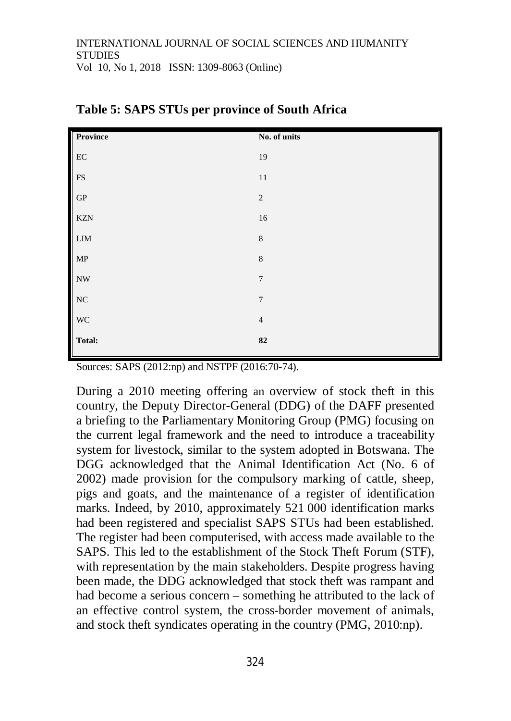|                                                                            | No. of units   |
|----------------------------------------------------------------------------|----------------|
|                                                                            | 19             |
|                                                                            | $1\,1$         |
|                                                                            | $\sqrt{2}$     |
|                                                                            | 16             |
|                                                                            | $\,8\,$        |
|                                                                            | $\,$ 8 $\,$    |
|                                                                            | $\overline{7}$ |
| Province<br>EC<br>FS<br>GP<br>KZN<br>LIM<br>MP<br>NW<br>NC<br>WC<br>Total: | $\overline{7}$ |
|                                                                            | $\sqrt{4}$     |
|                                                                            | ${\bf 82}$     |
|                                                                            |                |

| Table 5: SAPS STUs per province of South Africa |  |  |
|-------------------------------------------------|--|--|
|-------------------------------------------------|--|--|

Sources: SAPS (2012:np) and NSTPF (2016:70-74).

During a 2010 meeting offering an overview of stock theft in this country, the Deputy Director-General (DDG) of the DAFF presented a briefing to the Parliamentary Monitoring Group (PMG) focusing on the current legal framework and the need to introduce a traceability system for livestock, similar to the system adopted in Botswana. The DGG acknowledged that the Animal Identification Act (No. 6 of 2002) made provision for the compulsory marking of cattle, sheep, pigs and goats, and the maintenance of a register of identification marks. Indeed, by 2010, approximately 521 000 identification marks had been registered and specialist SAPS STUs had been established. The register had been computerised, with access made available to the SAPS. This led to the establishment of the Stock Theft Forum (STF), with representation by the main stakeholders. Despite progress having been made, the DDG acknowledged that stock theft was rampant and had become a serious concern – something he attributed to the lack of an effective control system, the cross-border movement of animals, and stock theft syndicates operating in the country (PMG, 2010:np).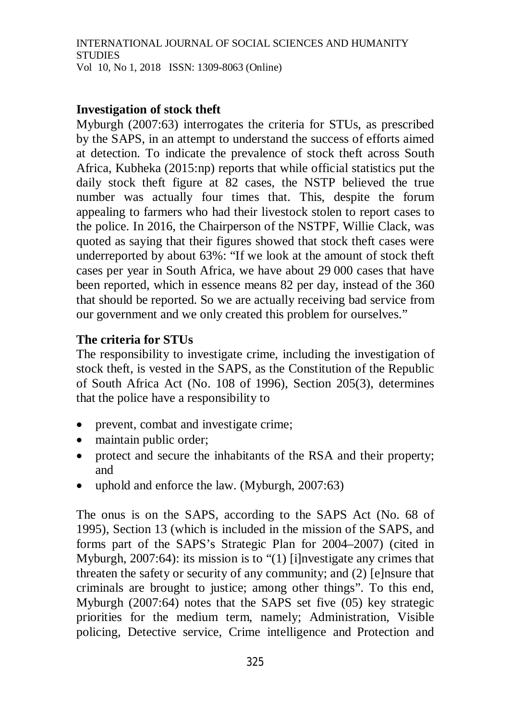## **Investigation of stock theft**

Myburgh (2007:63) interrogates the criteria for STUs, as prescribed by the SAPS, in an attempt to understand the success of efforts aimed at detection. To indicate the prevalence of stock theft across South Africa, Kubheka (2015:np) reports that while official statistics put the daily stock theft figure at 82 cases, the NSTP believed the true number was actually four times that. This, despite the forum appealing to farmers who had their livestock stolen to report cases to the police. In 2016, the Chairperson of the NSTPF, Willie Clack, was quoted as saying that their figures showed that stock theft cases were underreported by about 63%: "If we look at the amount of stock theft cases per year in South Africa, we have about 29 000 cases that have been reported, which in essence means 82 per day, instead of the 360 that should be reported. So we are actually receiving bad service from our government and we only created this problem for ourselves."

# **The criteria for STUs**

The responsibility to investigate crime, including the investigation of stock theft, is vested in the SAPS, as the Constitution of the Republic of South Africa Act (No. 108 of 1996), Section 205(3), determines that the police have a responsibility to

- prevent, combat and investigate crime;
- maintain public order;
- protect and secure the inhabitants of the RSA and their property; and
- uphold and enforce the law. (Myburgh, 2007:63)

The onus is on the SAPS, according to the SAPS Act (No. 68 of 1995), Section 13 (which is included in the mission of the SAPS, and forms part of the SAPS's Strategic Plan for 2004–2007) (cited in Myburgh, 2007:64): its mission is to "(1) [i]nvestigate any crimes that threaten the safety or security of any community; and (2) [e]nsure that criminals are brought to justice; among other things". To this end, Myburgh (2007:64) notes that the SAPS set five (05) key strategic priorities for the medium term, namely; Administration, Visible policing, Detective service, Crime intelligence and Protection and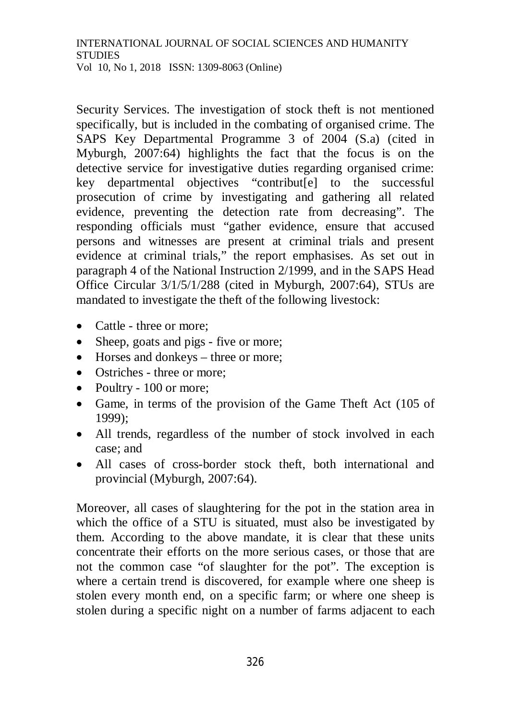Security Services. The investigation of stock theft is not mentioned specifically, but is included in the combating of organised crime. The SAPS Key Departmental Programme 3 of 2004 (S.a) (cited in Myburgh, 2007:64) highlights the fact that the focus is on the detective service for investigative duties regarding organised crime: key departmental objectives "contribut[e] to the successful prosecution of crime by investigating and gathering all related evidence, preventing the detection rate from decreasing". The responding officials must "gather evidence, ensure that accused persons and witnesses are present at criminal trials and present evidence at criminal trials," the report emphasises. As set out in paragraph 4 of the National Instruction 2/1999, and in the SAPS Head Office Circular 3/1/5/1/288 (cited in Myburgh, 2007:64), STUs are mandated to investigate the theft of the following livestock:

- Cattle three or more:
- Sheep, goats and pigs five or more;
- Horses and donkeys three or more;
- Ostriches three or more:
- Poultry 100 or more;
- Game, in terms of the provision of the Game Theft Act (105 of 1999);
- All trends, regardless of the number of stock involved in each case; and
- All cases of cross-border stock theft, both international and provincial (Myburgh, 2007:64).

Moreover, all cases of slaughtering for the pot in the station area in which the office of a STU is situated, must also be investigated by them. According to the above mandate, it is clear that these units concentrate their efforts on the more serious cases, or those that are not the common case "of slaughter for the pot". The exception is where a certain trend is discovered, for example where one sheep is stolen every month end, on a specific farm; or where one sheep is stolen during a specific night on a number of farms adjacent to each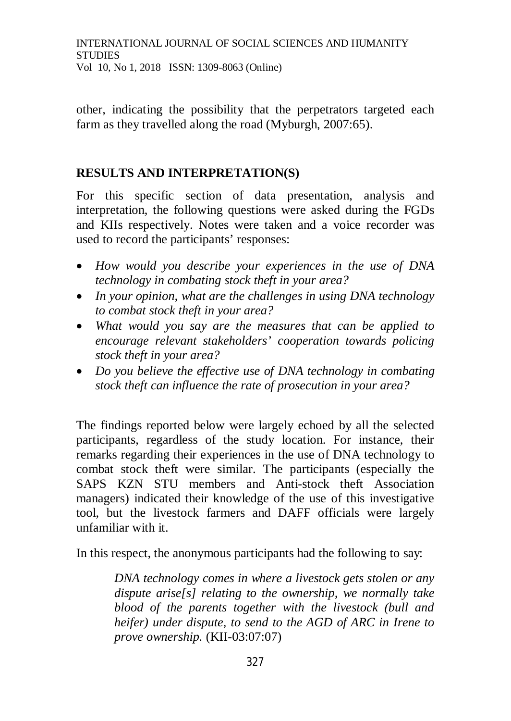other, indicating the possibility that the perpetrators targeted each farm as they travelled along the road (Myburgh, 2007:65).

## **RESULTS AND INTERPRETATION(S)**

For this specific section of data presentation, analysis and interpretation, the following questions were asked during the FGDs and KIIs respectively. Notes were taken and a voice recorder was used to record the participants' responses:

- *How would you describe your experiences in the use of DNA technology in combating stock theft in your area?*
- *In your opinion, what are the challenges in using DNA technology to combat stock theft in your area?*
- *What would you say are the measures that can be applied to encourage relevant stakeholders' cooperation towards policing stock theft in your area?*
- *Do you believe the effective use of DNA technology in combating stock theft can influence the rate of prosecution in your area?*

The findings reported below were largely echoed by all the selected participants, regardless of the study location. For instance, their remarks regarding their experiences in the use of DNA technology to combat stock theft were similar. The participants (especially the SAPS KZN STU members and Anti-stock theft Association managers) indicated their knowledge of the use of this investigative tool, but the livestock farmers and DAFF officials were largely unfamiliar with it.

In this respect, the anonymous participants had the following to say:

*DNA technology comes in where a livestock gets stolen or any dispute arise[s] relating to the ownership, we normally take blood of the parents together with the livestock (bull and heifer) under dispute, to send to the AGD of ARC in Irene to prove ownership.* (KII-03:07:07)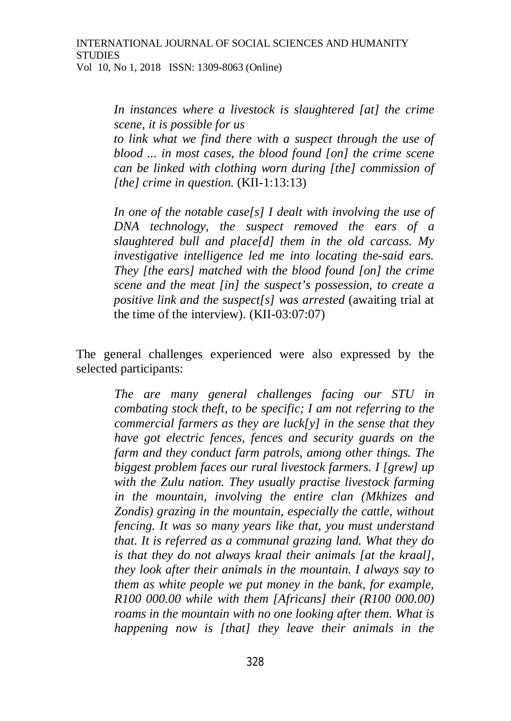*In instances where a livestock is slaughtered [at] the crime scene, it is possible for us* 

*to link what we find there with a suspect through the use of blood ... in most cases, the blood found [on] the crime scene can be linked with clothing worn during [the] commission of [the] crime in question.* (KII-1:13:13)

*In one of the notable case[s] I dealt with involving the use of DNA technology, the suspect removed the ears of a slaughtered bull and place[d] them in the old carcass. My investigative intelligence led me into locating the-said ears. They [the ears] matched with the blood found [on] the crime scene and the meat [in] the suspect's possession, to create a positive link and the suspect[s] was arrested* (awaiting trial at the time of the interview). (KII-03:07:07)

The general challenges experienced were also expressed by the selected participants:

> *The are many general challenges facing our STU in combating stock theft, to be specific; I am not referring to the commercial farmers as they are luck[y] in the sense that they have got electric fences, fences and security guards on the farm and they conduct farm patrols, among other things. The biggest problem faces our rural livestock farmers. I [grew] up with the Zulu nation. They usually practise livestock farming in the mountain, involving the entire clan (Mkhizes and Zondis) grazing in the mountain, especially the cattle, without fencing. It was so many years like that, you must understand that. It is referred as a communal grazing land. What they do is that they do not always kraal their animals [at the kraal], they look after their animals in the mountain. I always say to them as white people we put money in the bank, for example, R100 000.00 while with them [Africans] their (R100 000.00) roams in the mountain with no one looking after them. What is happening now is [that] they leave their animals in the*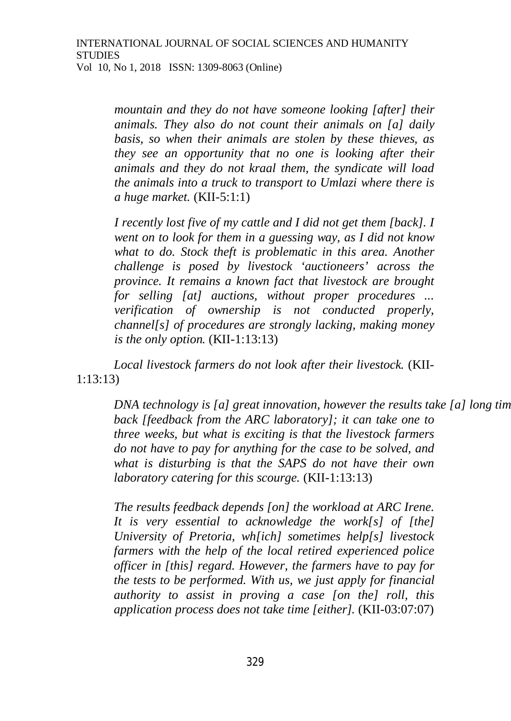*mountain and they do not have someone looking [after] their animals. They also do not count their animals on [a] daily basis, so when their animals are stolen by these thieves, as they see an opportunity that no one is looking after their animals and they do not kraal them, the syndicate will load the animals into a truck to transport to Umlazi where there is a huge market.* (KII-5:1:1)

*I recently lost five of my cattle and I did not get them [back]. I went on to look for them in a guessing way, as I did not know*  what to do. Stock theft is problematic in this area. Another *challenge is posed by livestock 'auctioneers' across the province. It remains a known fact that livestock are brought for selling [at] auctions, without proper procedures ... verification of ownership is not conducted properly, channel[s] of procedures are strongly lacking, making money is the only option.* (KII-1:13:13)

*Local livestock farmers do not look after their livestock.* (KII-1:13:13)

*DNA technology is [a] great innovation, however the results take [a] long tim back [feedback from the ARC laboratory]; it can take one to three weeks, but what is exciting is that the livestock farmers do not have to pay for anything for the case to be solved, and what is disturbing is that the SAPS do not have their own laboratory catering for this scourge.* (KII-1:13:13)

*The results feedback depends [on] the workload at ARC Irene. It is very essential to acknowledge the work[s] of [the] University of Pretoria, wh[ich] sometimes help[s] livestock farmers with the help of the local retired experienced police officer in [this] regard. However, the farmers have to pay for the tests to be performed. With us, we just apply for financial authority to assist in proving a case [on the] roll, this application process does not take time [either].* (KII-03:07:07)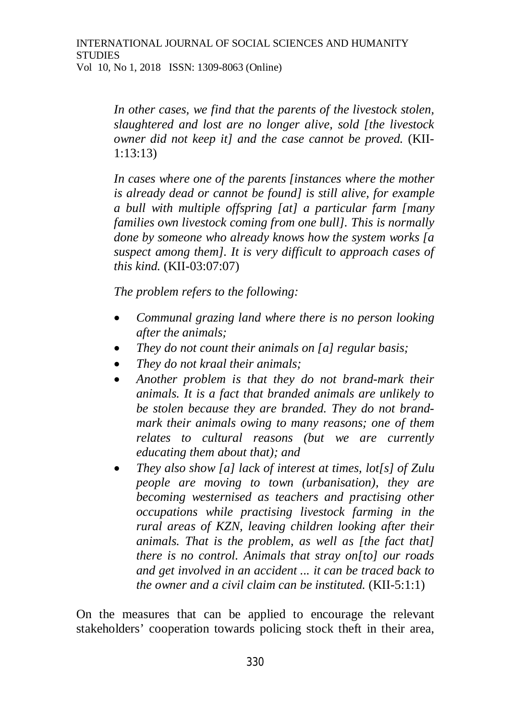*In other cases, we find that the parents of the livestock stolen, slaughtered and lost are no longer alive, sold [the livestock owner did not keep it] and the case cannot be proved.* (KII-1:13:13)

*In cases where one of the parents [instances where the mother is already dead or cannot be found] is still alive, for example a bull with multiple offspring [at] a particular farm [many families own livestock coming from one bull]. This is normally done by someone who already knows how the system works [a suspect among them]. It is very difficult to approach cases of this kind.* (KII-03:07:07)

*The problem refers to the following:*

- *Communal grazing land where there is no person looking after the animals;*
- *They do not count their animals on [a] regular basis;*
- *They do not kraal their animals;*
- *Another problem is that they do not brand-mark their animals. It is a fact that branded animals are unlikely to be stolen because they are branded. They do not brandmark their animals owing to many reasons; one of them relates to cultural reasons (but we are currently educating them about that); and*
- *They also show [a] lack of interest at times, lot[s] of Zulu people are moving to town (urbanisation), they are becoming westernised as teachers and practising other occupations while practising livestock farming in the rural areas of KZN, leaving children looking after their animals. That is the problem, as well as [the fact that] there is no control. Animals that stray on[to] our roads and get involved in an accident ... it can be traced back to the owner and a civil claim can be instituted.* (KII-5:1:1)

On the measures that can be applied to encourage the relevant stakeholders' cooperation towards policing stock theft in their area,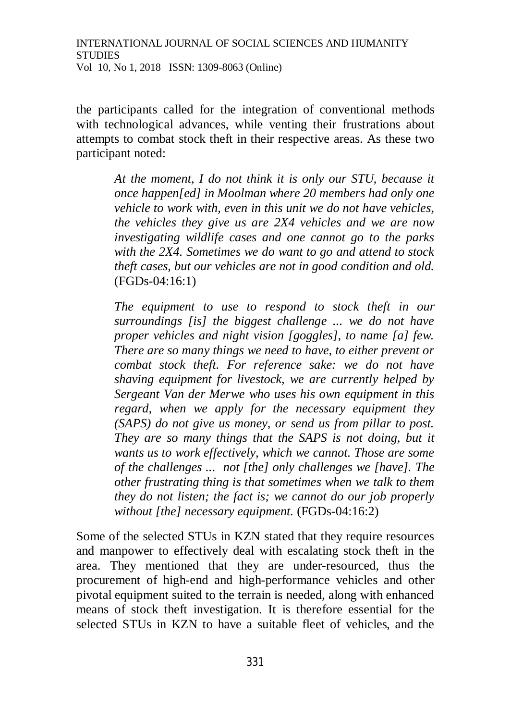the participants called for the integration of conventional methods with technological advances, while venting their frustrations about attempts to combat stock theft in their respective areas. As these two participant noted:

> *At the moment, I do not think it is only our STU, because it once happen[ed] in Moolman where 20 members had only one vehicle to work with, even in this unit we do not have vehicles, the vehicles they give us are 2X4 vehicles and we are now investigating wildlife cases and one cannot go to the parks with the 2X4. Sometimes we do want to go and attend to stock theft cases, but our vehicles are not in good condition and old.* (FGDs-04:16:1)

> *The equipment to use to respond to stock theft in our surroundings [is] the biggest challenge ... we do not have proper vehicles and night vision [goggles], to name [a] few. There are so many things we need to have, to either prevent or combat stock theft. For reference sake: we do not have shaving equipment for livestock, we are currently helped by Sergeant Van der Merwe who uses his own equipment in this regard, when we apply for the necessary equipment they (SAPS) do not give us money, or send us from pillar to post. They are so many things that the SAPS is not doing, but it wants us to work effectively, which we cannot. Those are some of the challenges ... not [the] only challenges we [have]. The other frustrating thing is that sometimes when we talk to them they do not listen; the fact is; we cannot do our job properly without [the] necessary equipment.* (FGDs-04:16:2)

Some of the selected STUs in KZN stated that they require resources and manpower to effectively deal with escalating stock theft in the area. They mentioned that they are under-resourced, thus the procurement of high-end and high-performance vehicles and other pivotal equipment suited to the terrain is needed, along with enhanced means of stock theft investigation. It is therefore essential for the selected STUs in KZN to have a suitable fleet of vehicles, and the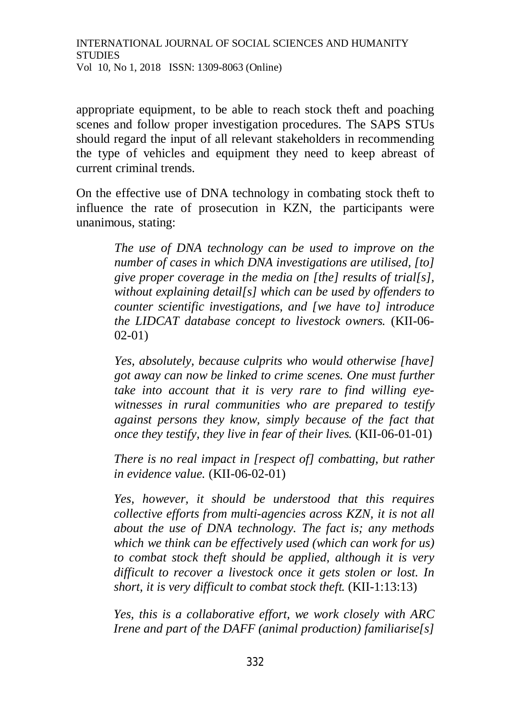appropriate equipment, to be able to reach stock theft and poaching scenes and follow proper investigation procedures. The SAPS STUs should regard the input of all relevant stakeholders in recommending the type of vehicles and equipment they need to keep abreast of current criminal trends.

On the effective use of DNA technology in combating stock theft to influence the rate of prosecution in KZN, the participants were unanimous, stating:

> *The use of DNA technology can be used to improve on the number of cases in which DNA investigations are utilised, [to] give proper coverage in the media on [the] results of trial[s], without explaining detail[s] which can be used by offenders to counter scientific investigations, and [we have to] introduce the LIDCAT database concept to livestock owners.* (KII-06- 02-01)

> *Yes, absolutely, because culprits who would otherwise [have] got away can now be linked to crime scenes. One must further take into account that it is very rare to find willing eyewitnesses in rural communities who are prepared to testify against persons they know, simply because of the fact that once they testify, they live in fear of their lives.* (KII-06-01-01)

> *There is no real impact in [respect of] combatting, but rather in evidence value.* (KII-06-02-01)

> *Yes, however, it should be understood that this requires collective efforts from multi-agencies across KZN, it is not all about the use of DNA technology. The fact is; any methods which we think can be effectively used (which can work for us) to combat stock theft should be applied, although it is very difficult to recover a livestock once it gets stolen or lost. In short, it is very difficult to combat stock theft.* (KII-1:13:13)

> *Yes, this is a collaborative effort, we work closely with ARC Irene and part of the DAFF (animal production) familiarise[s]*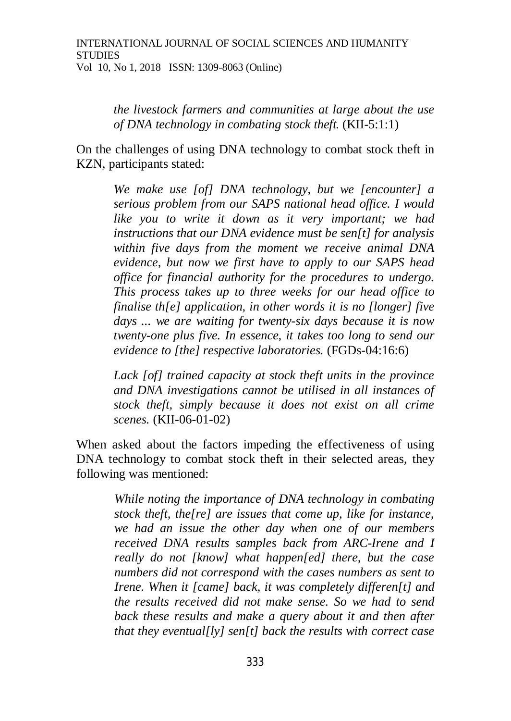*the livestock farmers and communities at large about the use of DNA technology in combating stock theft.* (KII-5:1:1)

On the challenges of using DNA technology to combat stock theft in KZN, participants stated:

> *We make use [of] DNA technology, but we [encounter] a serious problem from our SAPS national head office. I would like you to write it down as it very important; we had instructions that our DNA evidence must be sen[t] for analysis within five days from the moment we receive animal DNA evidence, but now we first have to apply to our SAPS head office for financial authority for the procedures to undergo. This process takes up to three weeks for our head office to finalise th[e] application, in other words it is no [longer] five days ... we are waiting for twenty-six days because it is now twenty-one plus five. In essence, it takes too long to send our evidence to [the] respective laboratories.* (FGDs-04:16:6)

> *Lack [of] trained capacity at stock theft units in the province and DNA investigations cannot be utilised in all instances of stock theft, simply because it does not exist on all crime scenes.* (KII-06-01-02)

When asked about the factors impeding the effectiveness of using DNA technology to combat stock theft in their selected areas, they following was mentioned:

> *While noting the importance of DNA technology in combating stock theft, the[re] are issues that come up, like for instance, we had an issue the other day when one of our members received DNA results samples back from ARC-Irene and I really do not [know] what happen[ed] there, but the case numbers did not correspond with the cases numbers as sent to Irene. When it [came] back, it was completely differen[t] and the results received did not make sense. So we had to send back these results and make a query about it and then after that they eventual[ly] sen[t] back the results with correct case*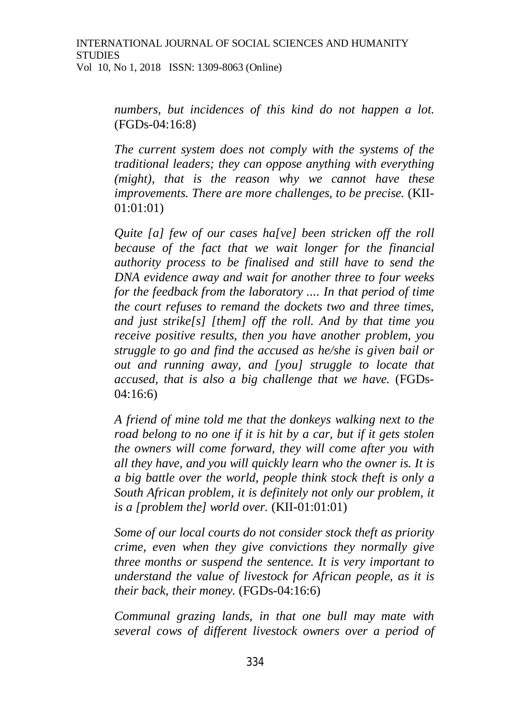*numbers, but incidences of this kind do not happen a lot.* (FGDs-04:16:8)

*The current system does not comply with the systems of the traditional leaders; they can oppose anything with everything (might), that is the reason why we cannot have these improvements. There are more challenges, to be precise.* (KII-01:01:01)

*Quite [a] few of our cases ha[ve] been stricken off the roll because of the fact that we wait longer for the financial authority process to be finalised and still have to send the DNA evidence away and wait for another three to four weeks for the feedback from the laboratory .... In that period of time the court refuses to remand the dockets two and three times, and just strike[s] [them] off the roll. And by that time you receive positive results, then you have another problem, you struggle to go and find the accused as he/she is given bail or out and running away, and [you] struggle to locate that accused, that is also a big challenge that we have.* (FGDs-04:16:6)

*A friend of mine told me that the donkeys walking next to the road belong to no one if it is hit by a car, but if it gets stolen the owners will come forward, they will come after you with all they have, and you will quickly learn who the owner is. It is a big battle over the world, people think stock theft is only a South African problem, it is definitely not only our problem, it is a [problem the] world over.* (KII-01:01:01)

*Some of our local courts do not consider stock theft as priority crime, even when they give convictions they normally give three months or suspend the sentence. It is very important to understand the value of livestock for African people, as it is their back, their money.* (FGDs-04:16:6)

*Communal grazing lands, in that one bull may mate with several cows of different livestock owners over a period of*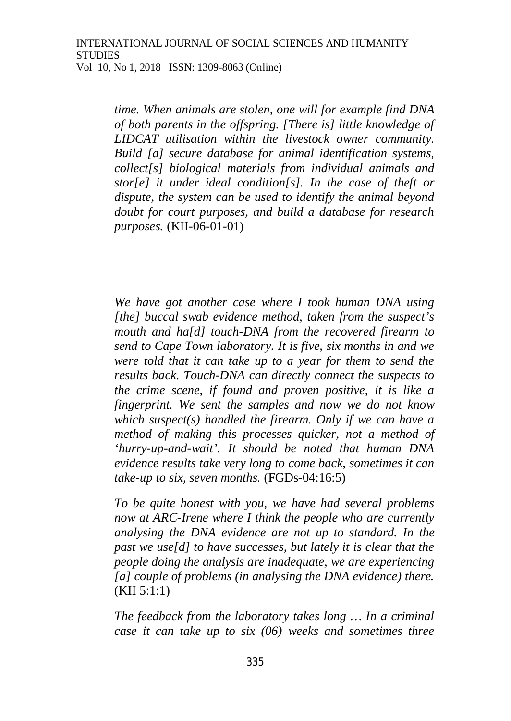*time. When animals are stolen, one will for example find DNA of both parents in the offspring. [There is] little knowledge of LIDCAT utilisation within the livestock owner community. Build [a] secure database for animal identification systems, collect[s] biological materials from individual animals and stor[e] it under ideal condition[s]. In the case of theft or dispute, the system can be used to identify the animal beyond doubt for court purposes, and build a database for research purposes.* (KII-06-01-01)

*We have got another case where I took human DNA using [the] buccal swab evidence method, taken from the suspect's mouth and ha[d] touch-DNA from the recovered firearm to send to Cape Town laboratory. It is five, six months in and we were told that it can take up to a year for them to send the results back. Touch-DNA can directly connect the suspects to the crime scene, if found and proven positive, it is like a fingerprint. We sent the samples and now we do not know which suspect(s) handled the firearm. Only if we can have a method of making this processes quicker, not a method of 'hurry-up-and-wait'. It should be noted that human DNA evidence results take very long to come back, sometimes it can take-up to six, seven months.* (FGDs-04:16:5)

*To be quite honest with you, we have had several problems now at ARC-Irene where I think the people who are currently analysing the DNA evidence are not up to standard. In the past we use[d] to have successes, but lately it is clear that the people doing the analysis are inadequate, we are experiencing [a] couple of problems (in analysing the DNA evidence) there.* (KII 5:1:1)

*The feedback from the laboratory takes long … In a criminal case it can take up to six (06) weeks and sometimes three*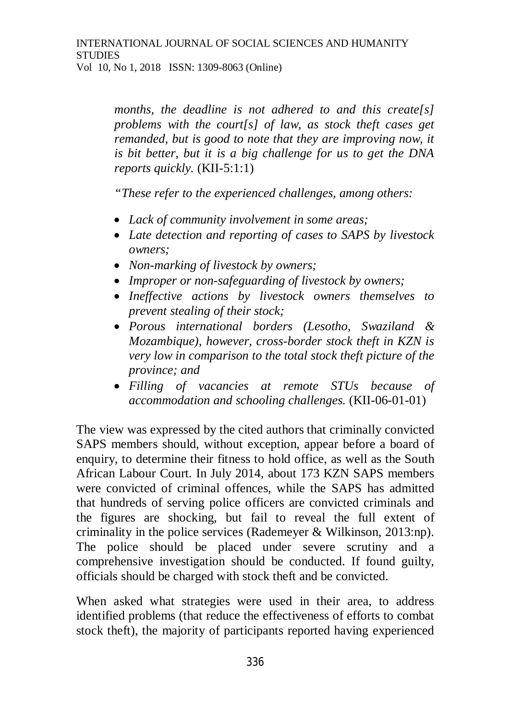*months, the deadline is not adhered to and this create[s] problems with the court[s] of law, as stock theft cases get remanded, but is good to note that they are improving now, it is bit better, but it is a big challenge for us to get the DNA reports quickly.* (KII-5:1:1)

*"These refer to the experienced challenges, among others:*

- *Lack of community involvement in some areas;*
- *Late detection and reporting of cases to SAPS by livestock owners;*
- *Non-marking of livestock by owners;*
- *Improper or non-safeguarding of livestock by owners;*
- *Ineffective actions by livestock owners themselves to prevent stealing of their stock;*
- *Porous international borders (Lesotho, Swaziland & Mozambique), however, cross-border stock theft in KZN is very low in comparison to the total stock theft picture of the province; and*
- *Filling of vacancies at remote STUs because of accommodation and schooling challenges.* (KII-06-01-01)

The view was expressed by the cited authors that criminally convicted SAPS members should, without exception, appear before a board of enquiry, to determine their fitness to hold office, as well as the South African Labour Court. In July 2014, about 173 KZN SAPS members were convicted of criminal offences, while the SAPS has admitted that hundreds of serving police officers are convicted criminals and the figures are shocking, but fail to reveal the full extent of criminality in the police services (Rademeyer & Wilkinson, 2013:np). The police should be placed under severe scrutiny and a comprehensive investigation should be conducted. If found guilty, officials should be charged with stock theft and be convicted.

When asked what strategies were used in their area, to address identified problems (that reduce the effectiveness of efforts to combat stock theft), the majority of participants reported having experienced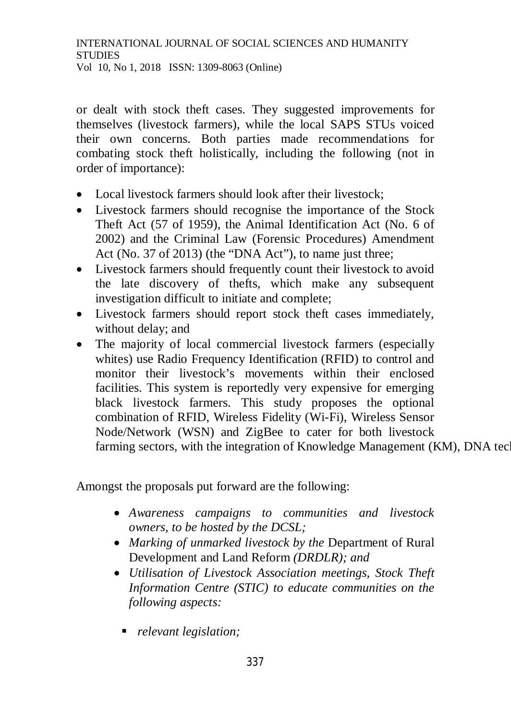or dealt with stock theft cases. They suggested improvements for themselves (livestock farmers), while the local SAPS STUs voiced their own concerns. Both parties made recommendations for combating stock theft holistically, including the following (not in order of importance):

- Local livestock farmers should look after their livestock:
- Livestock farmers should recognise the importance of the Stock Theft Act (57 of 1959), the Animal Identification Act (No. 6 of 2002) and the Criminal Law (Forensic Procedures) Amendment Act (No. 37 of 2013) (the "DNA Act"), to name just three;
- Livestock farmers should frequently count their livestock to avoid the late discovery of thefts, which make any subsequent investigation difficult to initiate and complete;
- Livestock farmers should report stock theft cases immediately, without delay; and
- The majority of local commercial livestock farmers (especially whites) use Radio Frequency Identification (RFID) to control and monitor their livestock's movements within their enclosed facilities. This system is reportedly very expensive for emerging black livestock farmers. This study proposes the optional combination of RFID, Wireless Fidelity (Wi-Fi), Wireless Sensor Node/Network (WSN) and ZigBee to cater for both livestock farming sectors, with the integration of Knowledge Management (KM), DNA tec

Amongst the proposals put forward are the following:

- *Awareness campaigns to communities and livestock owners, to be hosted by the DCSL;*
- *Marking of unmarked livestock by the* Department of Rural Development and Land Reform *(DRDLR); and*
- *Utilisation of Livestock Association meetings, Stock Theft Information Centre (STIC) to educate communities on the following aspects:*
	- *relevant legislation;*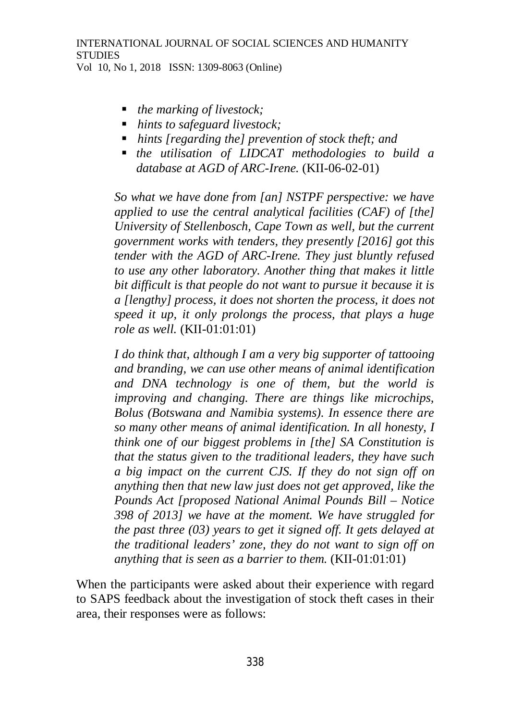- *the marking of livestock;*
- *hints to safeguard livestock;*
- *hints [regarding the] prevention of stock theft; and*
- *the utilisation of LIDCAT methodologies to build a database at AGD of ARC-Irene.* (KII-06-02-01)

*So what we have done from [an] NSTPF perspective: we have applied to use the central analytical facilities (CAF) of [the] University of Stellenbosch, Cape Town as well, but the current government works with tenders, they presently [2016] got this tender with the AGD of ARC-Irene. They just bluntly refused to use any other laboratory. Another thing that makes it little bit difficult is that people do not want to pursue it because it is a [lengthy] process, it does not shorten the process, it does not speed it up, it only prolongs the process, that plays a huge role as well.* (KII-01:01:01)

*I do think that, although I am a very big supporter of tattooing and branding, we can use other means of animal identification and DNA technology is one of them, but the world is improving and changing. There are things like microchips, Bolus (Botswana and Namibia systems). In essence there are so many other means of animal identification. In all honesty, I think one of our biggest problems in [the] SA Constitution is that the status given to the traditional leaders, they have such a big impact on the current CJS. If they do not sign off on anything then that new law just does not get approved, like the Pounds Act [proposed National Animal Pounds Bill – Notice 398 of 2013] we have at the moment. We have struggled for the past three (03) years to get it signed off. It gets delayed at the traditional leaders' zone, they do not want to sign off on anything that is seen as a barrier to them.* (KII-01:01:01)

When the participants were asked about their experience with regard to SAPS feedback about the investigation of stock theft cases in their area, their responses were as follows: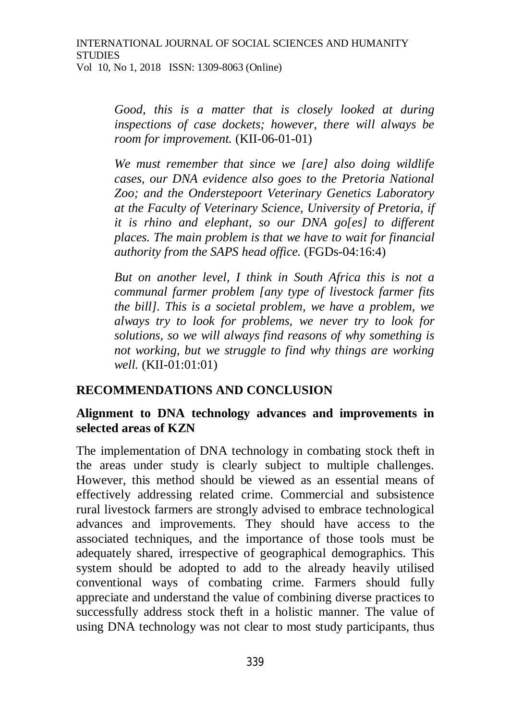*Good, this is a matter that is closely looked at during inspections of case dockets; however, there will always be room for improvement.* (KII-06-01-01)

*We must remember that since we [are] also doing wildlife cases, our DNA evidence also goes to the Pretoria National Zoo; and the Onderstepoort Veterinary Genetics Laboratory at the Faculty of Veterinary Science, University of Pretoria, if it is rhino and elephant, so our DNA go[es] to different places. The main problem is that we have to wait for financial authority from the SAPS head office.* (FGDs-04:16:4)

*But on another level, I think in South Africa this is not a communal farmer problem [any type of livestock farmer fits the bill]. This is a societal problem, we have a problem, we always try to look for problems, we never try to look for solutions, so we will always find reasons of why something is not working, but we struggle to find why things are working well.* (KII-01:01:01)

## **RECOMMENDATIONS AND CONCLUSION**

## **Alignment to DNA technology advances and improvements in selected areas of KZN**

The implementation of DNA technology in combating stock theft in the areas under study is clearly subject to multiple challenges. However, this method should be viewed as an essential means of effectively addressing related crime. Commercial and subsistence rural livestock farmers are strongly advised to embrace technological advances and improvements. They should have access to the associated techniques, and the importance of those tools must be adequately shared, irrespective of geographical demographics. This system should be adopted to add to the already heavily utilised conventional ways of combating crime. Farmers should fully appreciate and understand the value of combining diverse practices to successfully address stock theft in a holistic manner. The value of using DNA technology was not clear to most study participants, thus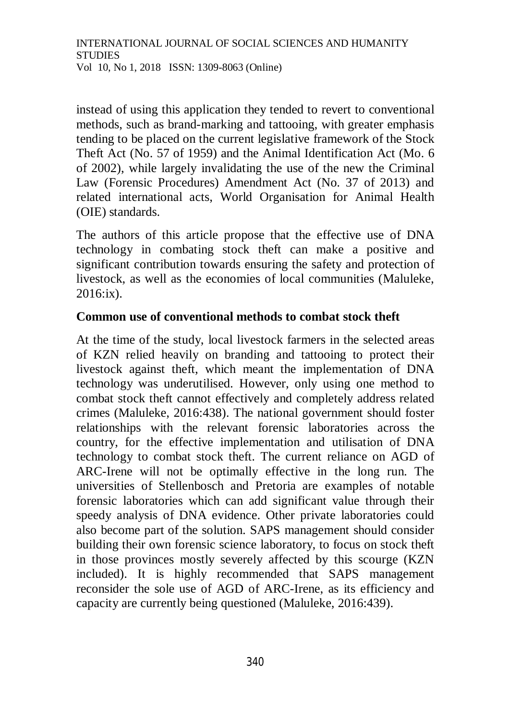instead of using this application they tended to revert to conventional methods, such as brand-marking and tattooing, with greater emphasis tending to be placed on the current legislative framework of the Stock Theft Act (No. 57 of 1959) and the Animal Identification Act (Mo. 6 of 2002), while largely invalidating the use of the new the Criminal Law (Forensic Procedures) Amendment Act (No. 37 of 2013) and related international acts, World Organisation for Animal Health (OIE) standards.

The authors of this article propose that the effective use of DNA technology in combating stock theft can make a positive and significant contribution towards ensuring the safety and protection of livestock, as well as the economies of local communities (Maluleke, 2016:ix).

## **Common use of conventional methods to combat stock theft**

At the time of the study, local livestock farmers in the selected areas of KZN relied heavily on branding and tattooing to protect their livestock against theft, which meant the implementation of DNA technology was underutilised. However, only using one method to combat stock theft cannot effectively and completely address related crimes (Maluleke, 2016:438). The national government should foster relationships with the relevant forensic laboratories across the country, for the effective implementation and utilisation of DNA technology to combat stock theft. The current reliance on AGD of ARC-Irene will not be optimally effective in the long run. The universities of Stellenbosch and Pretoria are examples of notable forensic laboratories which can add significant value through their speedy analysis of DNA evidence. Other private laboratories could also become part of the solution. SAPS management should consider building their own forensic science laboratory, to focus on stock theft in those provinces mostly severely affected by this scourge (KZN included). It is highly recommended that SAPS management reconsider the sole use of AGD of ARC-Irene, as its efficiency and capacity are currently being questioned (Maluleke, 2016:439).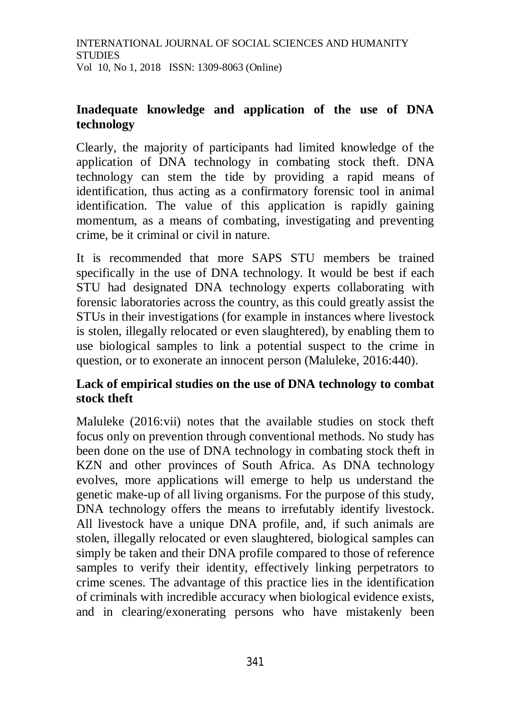## **Inadequate knowledge and application of the use of DNA technology**

Clearly, the majority of participants had limited knowledge of the application of DNA technology in combating stock theft. DNA technology can stem the tide by providing a rapid means of identification, thus acting as a confirmatory forensic tool in animal identification. The value of this application is rapidly gaining momentum, as a means of combating, investigating and preventing crime, be it criminal or civil in nature.

It is recommended that more SAPS STU members be trained specifically in the use of DNA technology. It would be best if each STU had designated DNA technology experts collaborating with forensic laboratories across the country, as this could greatly assist the STUs in their investigations (for example in instances where livestock is stolen, illegally relocated or even slaughtered), by enabling them to use biological samples to link a potential suspect to the crime in question, or to exonerate an innocent person (Maluleke, 2016:440).

# **Lack of empirical studies on the use of DNA technology to combat stock theft**

Maluleke (2016:vii) notes that the available studies on stock theft focus only on prevention through conventional methods. No study has been done on the use of DNA technology in combating stock theft in KZN and other provinces of South Africa. As DNA technology evolves, more applications will emerge to help us understand the genetic make-up of all living organisms. For the purpose of this study, DNA technology offers the means to irrefutably identify livestock. All livestock have a unique DNA profile, and, if such animals are stolen, illegally relocated or even slaughtered, biological samples can simply be taken and their DNA profile compared to those of reference samples to verify their identity, effectively linking perpetrators to crime scenes. The advantage of this practice lies in the identification of criminals with incredible accuracy when biological evidence exists, and in clearing/exonerating persons who have mistakenly been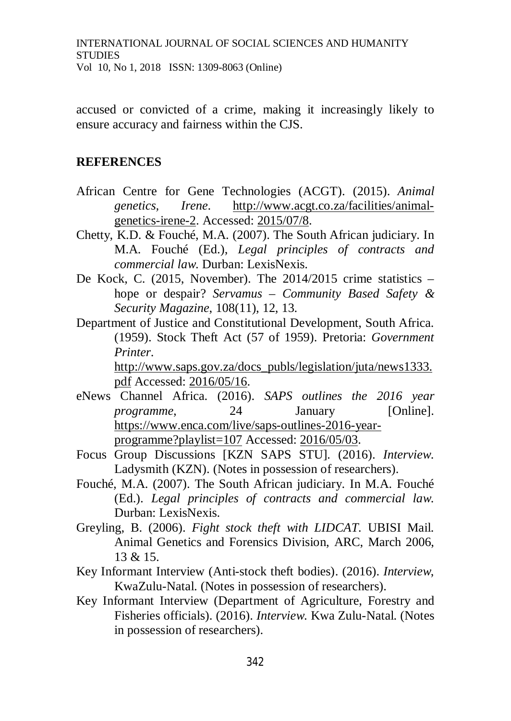accused or convicted of a crime, making it increasingly likely to ensure accuracy and fairness within the CJS.

#### **REFERENCES**

- African Centre for Gene Technologies (ACGT). (2015). *Animal genetics, Irene*. [http://www.acgt.co.za/facilities/animal](http://www.acgt.co.za/facilities/animal-)genetics-irene-2. Accessed: 2015/07/8.
- Chetty, K.D. & Fouché, M.A. (2007). The South African judiciary. In M.A. Fouché (Ed.), *Legal principles of contracts and commercial law*. Durban: LexisNexis.
- De Kock, C. (2015, November). The 2014/2015 crime statistics hope or despair? *Servamus – Community Based Safety & Security Magazine*, 108(11), 12, 13.
- Department of Justice and Constitutional Development, South Africa. (1959). Stock Theft Act (57 of 1959). Pretoria: *Government Printer*.

[http://www.saps.gov.za/docs\\_publs/legislation/juta/news1333.](http://www.saps.gov.za/docs_publs/legislation/juta/news1333.) pdf Accessed: 2016/05/16.

- eNews Channel Africa. (2016). *SAPS outlines the 2016 year programme*, 24 January [Online]. [https://www.enca.com/live/saps-outlines-2016-year](https://www.enca.com/live/saps-outlines-2016-year-)programme?playlist=107 Accessed: 2016/05/03.
- Focus Group Discussions [KZN SAPS STU]*.* (2016). *Interview*. Ladysmith (KZN). (Notes in possession of researchers).
- Fouché, M.A. (2007). The South African judiciary. In M.A. Fouché (Ed.). *Legal principles of contracts and commercial law*. Durban: LexisNexis.
- Greyling, B. (2006). *Fight stock theft with LIDCAT.* UBISI Mail. Animal Genetics and Forensics Division, ARC, March 2006, 13 & 15.
- Key Informant Interview (Anti-stock theft bodies). (2016). *Interview*, KwaZulu-Natal. (Notes in possession of researchers).
- Key Informant Interview (Department of Agriculture, Forestry and Fisheries officials). (2016). *Interview*. Kwa Zulu-Natal. (Notes in possession of researchers).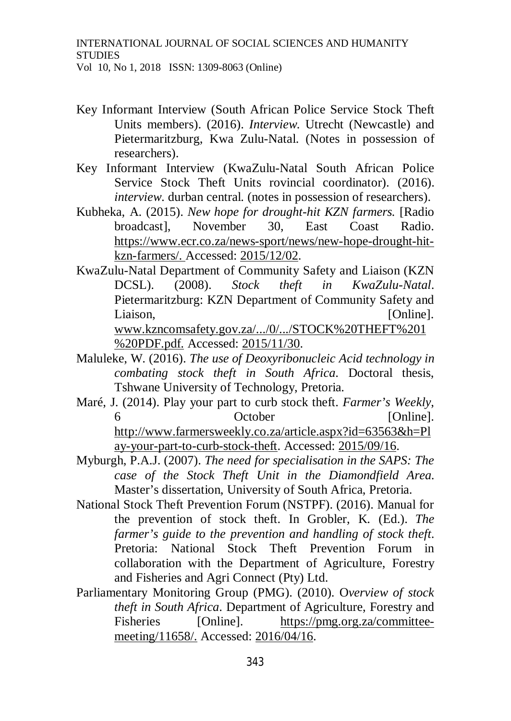- Key Informant Interview (South African Police Service Stock Theft Units members). (2016). *Interview*. Utrecht (Newcastle) and Pietermaritzburg, Kwa Zulu-Natal. (Notes in possession of researchers).
- Key Informant Interview (KwaZulu-Natal South African Police Service Stock Theft Units rovincial coordinator). (2016). *interview*. durban central. (notes in possession of researchers).
- Kubheka, A. (2015). *New hope for drought-hit KZN farmers.* [Radio broadcast], November 30, East Coast Radio. [https://www.ecr.co.za/news-sport/news/new-hope-drought-hit](https://www.ecr.co.za/news-sport/news/new-hope-drought-hit-)kzn-farmers/. Accessed: 2015/12/02.
- KwaZulu-Natal Department of Community Safety and Liaison (KZN DCSL). (2008). *Stock theft in KwaZulu-Natal*. Pietermaritzburg: KZN Department of Community Safety and Liaison, [Online]. [www.kzncomsafety.gov.za/.../0/.../STOCK%20THEFT%201](http://www.kzncomsafety.gov.za/.../0/.../STOCK%20THEFT%201) %20PDF.pdf. Accessed: 2015/11/30.
- Maluleke, W. (2016). *The use of Deoxyribonucleic Acid technology in combating stock theft in South Africa*. Doctoral thesis, Tshwane University of Technology, Pretoria.
- Maré, J. (2014). Play your part to curb stock theft. *Farmer's Weekly*, 6 October [Online]. <http://www.farmersweekly.co.za/article.aspx?id=63563&h=Pl> ay-your-part-to-curb-stock-theft. Accessed: 2015/09/16.
- Myburgh, P.A.J. (2007). *The need for specialisation in the SAPS: The case of the Stock Theft Unit in the Diamondfield Area*. Master's dissertation, University of South Africa, Pretoria.
- National Stock Theft Prevention Forum (NSTPF). (2016). Manual for the prevention of stock theft. In Grobler, K. (Ed.). *The farmer's guide to the prevention and handling of stock theft*. Pretoria: National Stock Theft Prevention Forum in collaboration with the Department of Agriculture, Forestry and Fisheries and Agri Connect (Pty) Ltd.
- Parliamentary Monitoring Group (PMG). (2010). O*verview of stock theft in South Africa*. Department of Agriculture, Forestry and Fisheries [Online]. [https://pmg.org.za/committee](https://pmg.org.za/committee-)meeting/11658/. Accessed: 2016/04/16.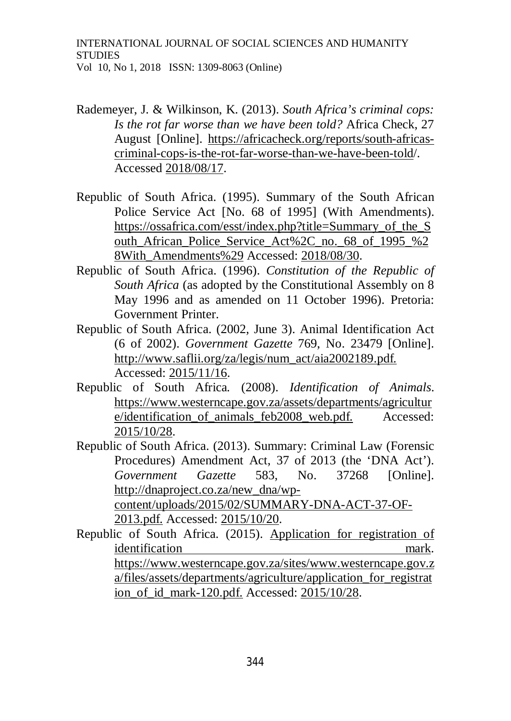- Rademeyer, J. & Wilkinson, K. (2013). *South Africa's criminal cops: Is the rot far worse than we have been told?* Africa Check, 27 August [Online]. [https://africacheck.org/reports/south-africas](https://africacheck.org/reports/south-africas-)criminal-cops-is-the-rot-far-worse-than-we-have-been-told/. Accessed 2018/08/17.
- Republic of South Africa. (1995). Summary of the South African Police Service Act [No. 68 of 1995] (With Amendments). [https://ossafrica.com/esst/index.php?title=Summary\\_of\\_the\\_S](https://ossafrica.com/esst/index.php?title=Summary_of_the_S) outh African Police Service Act%2C no. 68 of 1995 %2 8With\_Amendments%29 Accessed: 2018/08/30.
- Republic of South Africa. (1996). *Constitution of the Republic of South Africa* (as adopted by the Constitutional Assembly on 8 May 1996 and as amended on 11 October 1996). Pretoria: Government Printer.
- Republic of South Africa. (2002, June 3). Animal Identification Act (6 of 2002). *Government Gazette* 769, No. 23479 [Online]. [http://www.saflii.org/za/legis/num\\_act/aia2002189.pdf.](http://www.saflii.org/za/legis/num_act/aia2002189.pdf.) Accessed: 2015/11/16.
- Republic of South Africa*.* (2008). *Identification of Animals*. <https://www.westerncape.gov.za/assets/departments/agricultur> e/identification\_of\_animals\_feb2008\_web.pdf. Accessed: 2015/10/28.
- Republic of South Africa. (2013). Summary: Criminal Law (Forensic Procedures) Amendment Act, 37 of 2013 (the 'DNA Act'). *Government Gazette* 583, No. 37268 [Online]. [http://dnaproject.co.za/new\\_dna/wp](http://dnaproject.co.za/new_dna/wp-)content/uploads/2015/02/SUMMARY-DNA-ACT-37-OF-2013.pdf. Accessed: 2015/10/20.
- Republic of South Africa. (2015). Application for registration of identification mark. <https://www.westerncape.gov.za/sites/www.westerncape.gov.z> a/files/assets/departments/agriculture/application\_for\_registrat ion\_of\_id\_mark-120.pdf. Accessed: 2015/10/28.